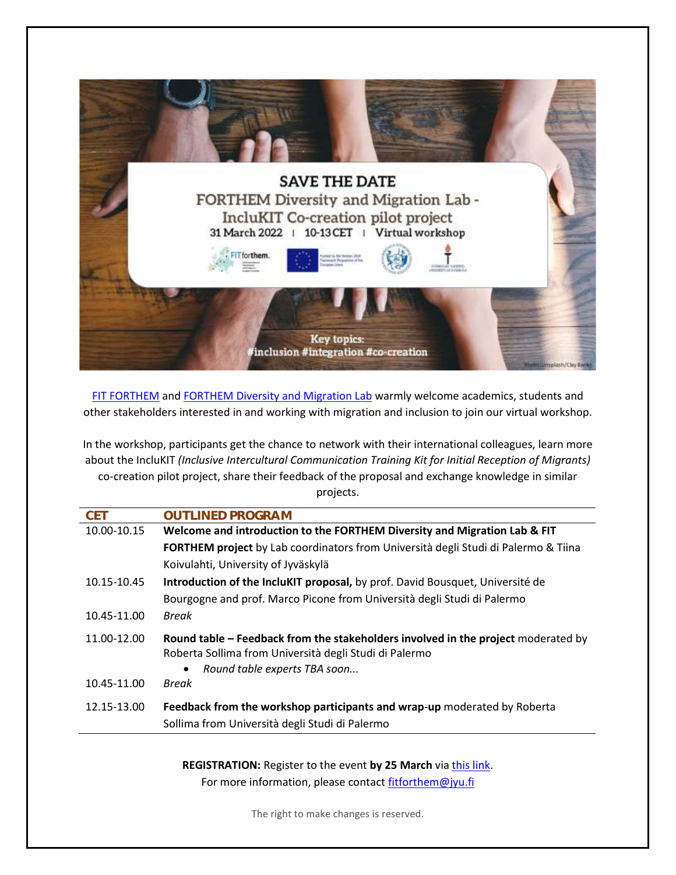

[FIT FORTHEM](https://www.forthem-alliance.eu/fit-forthem/) and [FORTHEM Diversity and Migration Lab](https://www.forthem-alliance.eu/objectives/labs/diversity-and-migration/) warmly welcome academics, students and other stakeholders interested in and working with migration and inclusion to join our virtual workshop.

In the workshop, participants get the chance to network with their international colleagues, learn more about the IncluKIT *(Inclusive Intercultural Communication Training Kit for Initial Reception of Migrants)* co-creation pilot project, share their feedback of the proposal and exchange knowledge in similar projects.

| <b>CET</b>  | <b>OUTLINED PROGRAM</b>                                                                                                                     |
|-------------|---------------------------------------------------------------------------------------------------------------------------------------------|
| 10.00-10.15 | Welcome and introduction to the FORTHEM Diversity and Migration Lab & FIT                                                                   |
|             | <b>FORTHEM project</b> by Lab coordinators from Università degli Studi di Palermo & Tiina                                                   |
|             | Koivulahti, University of Jyväskylä                                                                                                         |
| 10.15-10.45 | Introduction of the IncluKIT proposal, by prof. David Bousquet, Université de                                                               |
|             | Bourgogne and prof. Marco Picone from Università degli Studi di Palermo                                                                     |
| 10.45-11.00 | <b>Break</b>                                                                                                                                |
| 11.00-12.00 | Round table – Feedback from the stakeholders involved in the project moderated by<br>Roberta Sollima from Università degli Studi di Palermo |
|             | Round table experts TBA soon<br>$\bullet$                                                                                                   |
| 10.45-11.00 | <b>Break</b>                                                                                                                                |
| 12.15-13.00 | Feedback from the workshop participants and wrap-up moderated by Roberta                                                                    |
|             | Sollima from Università degli Studi di Palermo                                                                                              |

**REGISTRATION:** Register to the event **by 25 March** via [this link.](https://link.webropolsurveys.com/EP/5EDDD95A50DD97ED) For more information, please contact [fitforthem@jyu.fi](mailto:fitforthem@jyu.fi)

The right to make changes is reserved.